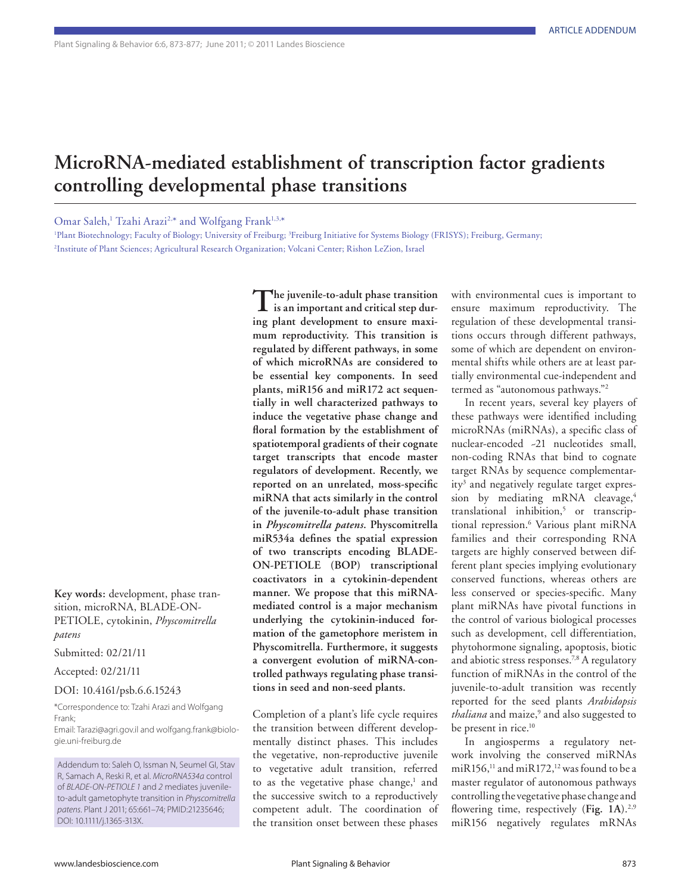## **MicroRNA-mediated establishment of transcription factor gradients controlling developmental phase transitions**

Omar Saleh,<sup>1</sup> Tzahi Arazi<sup>2,\*</sup> and Wolfgang Frank<sup>1,3,\*</sup>

<sup>1</sup>Plant Biotechnology; Faculty of Biology; University of Freiburg; <sup>3</sup>Freiburg Initiative for Systems Biology (FRISYS); Freiburg, Germany; 2 Institute of Plant Sciences; Agricultural Research Organization; Volcani Center; Rishon LeZion, Israel

**Key words:** development, phase transition, microRNA, BLADE-ON-PETIOLE, cytokinin, *Physcomitrella patens*

Submitted: 02/21/11

Accepted: 02/21/11

## DOI: 10.4161/psb.6.6.15243

\*Correspondence to: Tzahi Arazi and Wolfgang Frank;

Email: Tarazi@agri.gov.il and wolfgang.frank@biologie.uni-freiburg.de

**The juvenile-to-adult phase transition is an important and critical step during plant development to ensure maximum reproductivity. This transition is regulated by different pathways, in some of which microRNAs are considered to be essential key components. In seed plants, miR156 and miR172 act sequentially in well characterized pathways to induce the vegetative phase change and floral formation by the establishment of spatiotemporal gradients of their cognate target transcripts that encode master regulators of development. Recently, we reported on an unrelated, moss-specific miRNA that acts similarly in the control of the juvenile-to-adult phase transition in** *Physcomitrella patens***. Physcomitrella miR534a defines the spatial expression of two transcripts encoding BLADE-ON-PETIOLE (BOP) transcriptional coactivators in a cytokinin-dependent manner. We propose that this miRNAmediated control is a major mechanism underlying the cytokinin-induced formation of the gametophore meristem in Physcomitrella. Furthermore, it suggests a convergent evolution of miRNA-controlled pathways regulating phase transitions in seed and non-seed plants.**

Completion of a plant's life cycle requires the transition between different developmentally distinct phases. This includes the vegetative, non-reproductive juvenile to vegetative adult transition, referred to as the vegetative phase change,<sup>1</sup> and the successive switch to a reproductively competent adult. The coordination of the transition onset between these phases

with environmental cues is important to ensure maximum reproductivity. The regulation of these developmental transitions occurs through different pathways, some of which are dependent on environmental shifts while others are at least partially environmental cue-independent and termed as "autonomous pathways."2

In recent years, several key players of these pathways were identified including microRNAs (miRNAs), a specific class of nuclear-encoded ~21 nucleotides small, non-coding RNAs that bind to cognate target RNAs by sequence complementarity<sup>3</sup> and negatively regulate target expression by mediating mRNA cleavage,<sup>4</sup> translational inhibition,5 or transcriptional repression.6 Various plant miRNA families and their corresponding RNA targets are highly conserved between different plant species implying evolutionary conserved functions, whereas others are less conserved or species-specific. Many plant miRNAs have pivotal functions in the control of various biological processes such as development, cell differentiation, phytohormone signaling, apoptosis, biotic and abiotic stress responses.<sup>7,8</sup> A regulatory function of miRNAs in the control of the juvenile-to-adult transition was recently reported for the seed plants *Arabidopsis*  thaliana and maize,<sup>9</sup> and also suggested to be present in rice.<sup>10</sup>

In angiosperms a regulatory network involving the conserved miRNAs miR156,<sup>11</sup> and miR172,<sup>12</sup> was found to be a master regulator of autonomous pathways controlling the vegetative phase change and flowering time, respectively (**Fig. 1A**).2,9 miR156 negatively regulates mRNAs

Addendum to: Saleh O, Issman N, Seumel GI, Stav R, Samach A, Reski R, et al. *MicroRNA534a* control of *BLADE-ON-PETIOLE 1* and *2* mediates juvenileto-adult gametophyte transition in *Physcomitrella patens*. Plant J 2011; 65:661–74; PMID:21235646; DOI: 10.1111/j.1365-313X.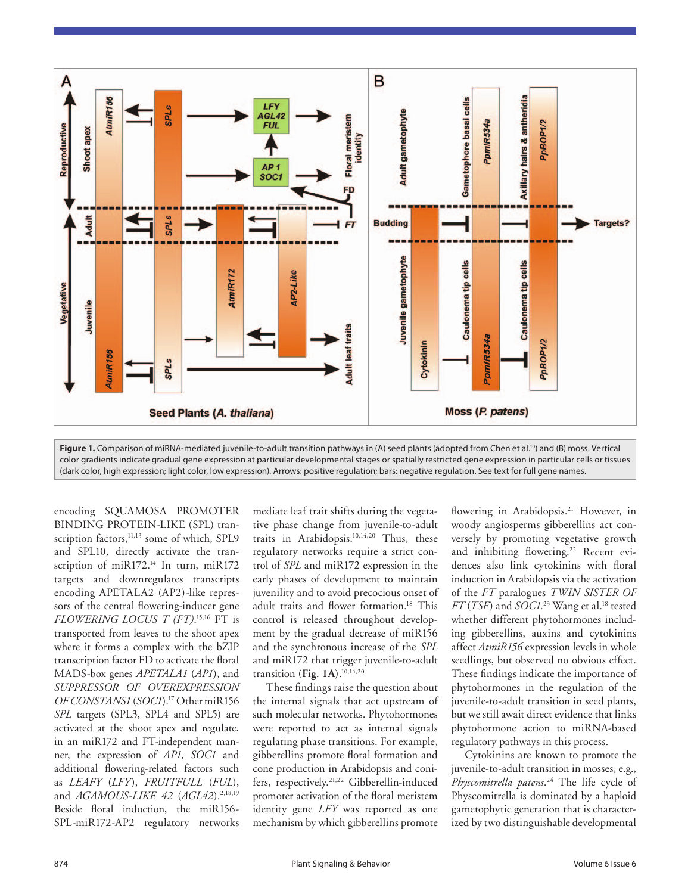

Figure 1. Comparison of miRNA-mediated juvenile-to-adult transition pathways in (A) seed plants (adopted from Chen et al.<sup>10</sup>) and (B) moss. Vertical color gradients indicate gradual gene expression at particular developmental stages or spatially restricted gene expression in particular cells or tissues (dark color, high expression; light color, low expression). Arrows: positive regulation; bars: negative regulation. See text for full gene names.

encoding SQUAMOSA PROMOTER BINDING PROTEIN-LIKE (SPL) transcription factors,<sup>11,13</sup> some of which, SPL9 and SPL10, directly activate the transcription of miR172.<sup>14</sup> In turn, miR172 targets and downregulates transcripts encoding APETALA2 (AP2)-like repressors of the central flowering-inducer gene *FLOWERING LOCUS T (FT)*. 15,16 FT is transported from leaves to the shoot apex where it forms a complex with the bZIP transcription factor FD to activate the floral MADS-box genes *APETALA1* (*AP1*), and *SUPPRESSOR OF OVEREXPRESSION OF CONSTANS1* (*SOC1*).17 Other miR156 *SPL* targets (SPL3, SPL4 and SPL5) are activated at the shoot apex and regulate, in an miR172 and FT-independent manner, the expression of *AP1*, *SOC1* and additional flowering-related factors such as *LEAFY* (*LFY*), *FRUITFULL* (*FUL*), and *AGAMOUS-LIKE* 42 (AGL42).<sup>2,18,19</sup> Beside floral induction, the miR156- SPL-miR172-AP2 regulatory networks

mediate leaf trait shifts during the vegetative phase change from juvenile-to-adult traits in Arabidopsis.10,14,20 Thus, these regulatory networks require a strict control of *SPL* and miR172 expression in the early phases of development to maintain juvenility and to avoid precocious onset of adult traits and flower formation.<sup>18</sup> This control is released throughout development by the gradual decrease of miR156 and the synchronous increase of the *SPL* and miR172 that trigger juvenile-to-adult transition (**Fig. 1A**).10,14,20

These findings raise the question about the internal signals that act upstream of such molecular networks. Phytohormones were reported to act as internal signals regulating phase transitions. For example, gibberellins promote floral formation and cone production in Arabidopsis and conifers, respectively.21,22 Gibberellin-induced promoter activation of the floral meristem identity gene *LFY* was reported as one mechanism by which gibberellins promote

flowering in Arabidopsis.<sup>21</sup> However, in woody angiosperms gibberellins act conversely by promoting vegetative growth and inhibiting flowering.<sup>22</sup> Recent evidences also link cytokinins with floral induction in Arabidopsis via the activation of the *FT* paralogues *TWIN SISTER OF FT* (*TSF*) and *SOC1*. 23 Wang et al.18 tested whether different phytohormones including gibberellins, auxins and cytokinins affect *AtmiR156* expression levels in whole seedlings, but observed no obvious effect. These findings indicate the importance of phytohormones in the regulation of the juvenile-to-adult transition in seed plants, but we still await direct evidence that links phytohormone action to miRNA-based regulatory pathways in this process.

Cytokinins are known to promote the juvenile-to-adult transition in mosses, e.g., *Physcomitrella patens*. 24 The life cycle of Physcomitrella is dominated by a haploid gametophytic generation that is characterized by two distinguishable developmental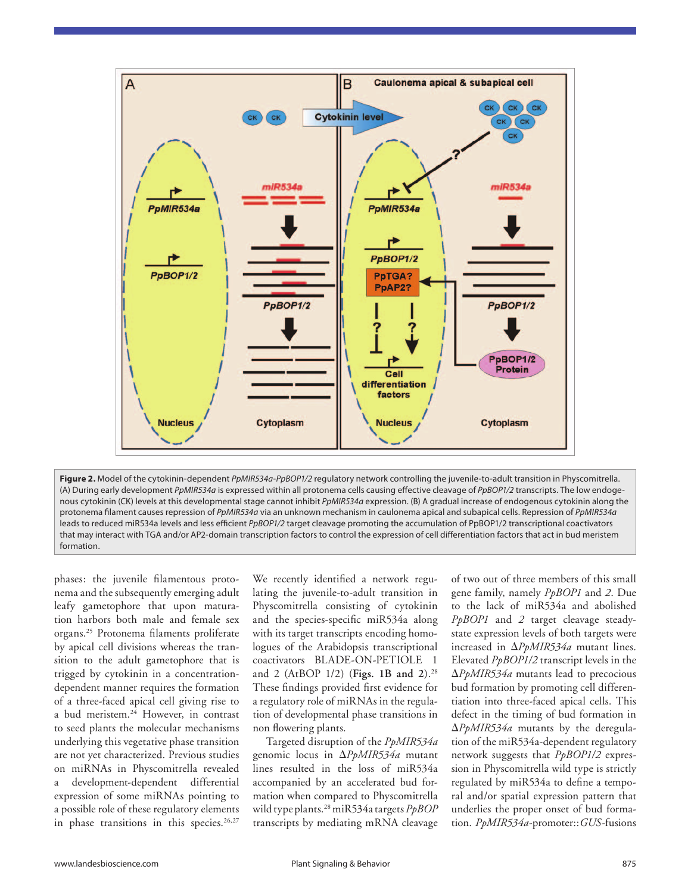

**Figure 2.** Model of the cytokinin-dependent *PpMIR534a*-*PpBOP1/2* regulatory network controlling the juvenile-to-adult transition in Physcomitrella. (A) During early development *PpMIR534a* is expressed within all protonema cells causing effective cleavage of *PpBOP1/2* transcripts. The low endogenous cytokinin (CK) levels at this developmental stage cannot inhibit *PpMIR534a* expression. (B) A gradual increase of endogenous cytokinin along the protonema filament causes repression of *PpMIR534a* via an unknown mechanism in caulonema apical and subapical cells. Repression of *PpMIR534a* leads to reduced miR534a levels and less efficient *PpBOP1/2* target cleavage promoting the accumulation of PpBOP1/2 transcriptional coactivators that may interact with TGA and/or AP2-domain transcription factors to control the expression of cell differentiation factors that act in bud meristem formation.

phases: the juvenile filamentous protonema and the subsequently emerging adult leafy gametophore that upon maturation harbors both male and female sex organs.25 Protonema filaments proliferate by apical cell divisions whereas the transition to the adult gametophore that is trigged by cytokinin in a concentrationdependent manner requires the formation of a three-faced apical cell giving rise to a bud meristem.24 However, in contrast to seed plants the molecular mechanisms underlying this vegetative phase transition are not yet characterized. Previous studies on miRNAs in Physcomitrella revealed a development-dependent differential expression of some miRNAs pointing to a possible role of these regulatory elements in phase transitions in this species.<sup>26,27</sup>

We recently identified a network regulating the juvenile-to-adult transition in Physcomitrella consisting of cytokinin and the species-specific miR534a along with its target transcripts encoding homologues of the Arabidopsis transcriptional coactivators BLADE-ON-PETIOLE 1 and 2 (AtBOP 1/2) (**Figs. 1B and 2**).28 These findings provided first evidence for a regulatory role of miRNAs in the regulation of developmental phase transitions in non flowering plants.

Targeted disruption of the *PpMIR534a* genomic locus in Δ*PpMIR534a* mutant lines resulted in the loss of miR534a accompanied by an accelerated bud formation when compared to Physcomitrella wild type plants.28 miR534a targets *PpBOP* transcripts by mediating mRNA cleavage of two out of three members of this small gene family, namely *PpBOP1* and *2*. Due to the lack of miR534a and abolished *PpBOP1* and *2* target cleavage steadystate expression levels of both targets were increased in Δ*PpMIR534a* mutant lines. Elevated *PpBOP1/2* transcript levels in the Δ*PpMIR534a* mutants lead to precocious bud formation by promoting cell differentiation into three-faced apical cells. This defect in the timing of bud formation in Δ*PpMIR534a* mutants by the deregulation of the miR534a-dependent regulatory network suggests that *PpBOP1/2* expression in Physcomitrella wild type is strictly regulated by miR534a to define a temporal and/or spatial expression pattern that underlies the proper onset of bud formation. *PpMIR534a*-promoter::*GUS*-fusions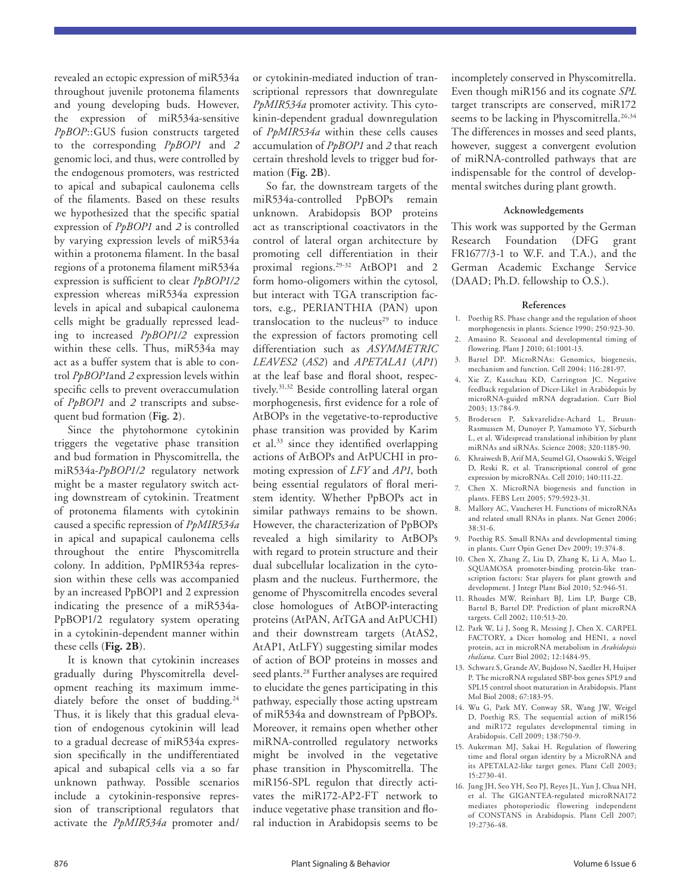revealed an ectopic expression of miR534a throughout juvenile protonema filaments and young developing buds. However, the expression of miR534a-sensitive *PpBOP*::GUS fusion constructs targeted to the corresponding *PpBOP1* and *2* genomic loci, and thus, were controlled by the endogenous promoters, was restricted to apical and subapical caulonema cells of the filaments. Based on these results we hypothesized that the specific spatial expression of *PpBOP1* and *2* is controlled by varying expression levels of miR534a within a protonema filament. In the basal regions of a protonema filament miR534a expression is sufficient to clear *PpBOP1/2* expression whereas miR534a expression levels in apical and subapical caulonema cells might be gradually repressed leading to increased *PpBOP1/2* expression within these cells. Thus, miR534a may act as a buffer system that is able to control *PpBOP1*and *2* expression levels within specific cells to prevent overaccumulation of *PpBOP1* and *2* transcripts and subsequent bud formation (**Fig. 2**).

Since the phytohormone cytokinin triggers the vegetative phase transition and bud formation in Physcomitrella, the miR534a-*PpBOP1/2* regulatory network might be a master regulatory switch acting downstream of cytokinin. Treatment of protonema filaments with cytokinin caused a specific repression of *PpMIR534a* in apical and supapical caulonema cells throughout the entire Physcomitrella colony. In addition, PpMIR534a repression within these cells was accompanied by an increased PpBOP1 and 2 expression indicating the presence of a miR534a-PpBOP1/2 regulatory system operating in a cytokinin-dependent manner within these cells (**Fig. 2B**).

It is known that cytokinin increases gradually during Physcomitrella development reaching its maximum immediately before the onset of budding.<sup>24</sup> Thus, it is likely that this gradual elevation of endogenous cytokinin will lead to a gradual decrease of miR534a expression specifically in the undifferentiated apical and subapical cells via a so far unknown pathway. Possible scenarios include a cytokinin-responsive repression of transcriptional regulators that activate the *PpMIR534a* promoter and/

or cytokinin-mediated induction of transcriptional repressors that downregulate *PpMIR534a* promoter activity. This cytokinin-dependent gradual downregulation of *PpMIR534a* within these cells causes accumulation of *PpBOP1* and *2* that reach certain threshold levels to trigger bud formation (**Fig. 2B**).

So far, the downstream targets of the miR534a-controlled PpBOPs remain unknown. Arabidopsis BOP proteins act as transcriptional coactivators in the control of lateral organ architecture by promoting cell differentiation in their proximal regions.<sup>29-32</sup> AtBOP1 and 2 form homo-oligomers within the cytosol, but interact with TGA transcription factors, e.g., PERIANTHIA (PAN) upon translocation to the nucleus<sup>29</sup> to induce the expression of factors promoting cell differentiation such as *ASYMMETRIC LEAVES2* (*AS2*) and *APETALA1* (*AP1*) at the leaf base and floral shoot, respectively.31,32 Beside controlling lateral organ morphogenesis, first evidence for a role of AtBOPs in the vegetative-to-reproductive phase transition was provided by Karim et al.33 since they identified overlapping actions of AtBOPs and AtPUCHI in promoting expression of *LFY* and *AP1*, both being essential regulators of floral meristem identity. Whether PpBOPs act in similar pathways remains to be shown. However, the characterization of PpBOPs revealed a high similarity to AtBOPs with regard to protein structure and their dual subcellular localization in the cytoplasm and the nucleus. Furthermore, the genome of Physcomitrella encodes several close homologues of AtBOP-interacting proteins (AtPAN, AtTGA and AtPUCHI) and their downstream targets (AtAS2, AtAP1, AtLFY) suggesting similar modes of action of BOP proteins in mosses and seed plants.<sup>28</sup> Further analyses are required to elucidate the genes participating in this pathway, especially those acting upstream of miR534a and downstream of PpBOPs. Moreover, it remains open whether other miRNA-controlled regulatory networks might be involved in the vegetative phase transition in Physcomitrella. The miR156-SPL regulon that directly activates the miR172-AP2-FT network to induce vegetative phase transition and floral induction in Arabidopsis seems to be incompletely conserved in Physcomitrella. Even though miR156 and its cognate *SPL* target transcripts are conserved, miR172 seems to be lacking in Physcomitrella.<sup>26,34</sup> The differences in mosses and seed plants, however, suggest a convergent evolution of miRNA-controlled pathways that are indispensable for the control of developmental switches during plant growth.

## **Acknowledgements**

This work was supported by the German Research Foundation (DFG grant FR1677/3-1 to W.F. and T.A.), and the German Academic Exchange Service (DAAD; Ph.D. fellowship to O.S.).

## **References**

- 1. Poethig RS. Phase change and the regulation of shoot morphogenesis in plants. Science 1990; 250:923-30.
- 2. Amasino R. Seasonal and developmental timing of flowering. Plant J 2010; 61:1001-13.
- 3. Bartel DP. MicroRNAs: Genomics, biogenesis, mechanism and function. Cell 2004; 116:281-97.
- 4. Xie Z, Kasschau KD, Carrington JC. Negative feedback regulation of Dicer-Like1 in Arabidopsis by microRNA-guided mRNA degradation. Curr Biol 2003; 13:784-9.
- 5. Brodersen P, Sakvarelidze-Achard L, Bruun-Rasmussen M, Dunoyer P, Yamamoto YY, Sieburth L, et al. Widespread translational inhibition by plant miRNAs and siRNAs. Science 2008; 320:1185-90.
- 6. Khraiwesh B, Arif MA, Seumel GI, Ossowski S, Weigel D, Reski R, et al. Transcriptional control of gene expression by microRNAs. Cell 2010; 140:111-22.
- 7. Chen X. MicroRNA biogenesis and function in plants. FEBS Lett 2005; 579:5923-31.
- 8. Mallory AC, Vaucheret H. Functions of microRNAs and related small RNAs in plants. Nat Genet 2006; 38:31-6.
- 9. Poethig RS. Small RNAs and developmental timing in plants. Curr Opin Genet Dev 2009; 19:374-8.
- 10. Chen X, Zhang Z, Liu D, Zhang K, Li A, Mao L. SQUAMOSA promoter-binding protein-like transcription factors: Star players for plant growth and development. J Integr Plant Biol 2010; 52:946-51.
- 11. Rhoades MW, Reinhart BJ, Lim LP, Burge CB, Bartel B, Bartel DP. Prediction of plant microRNA targets. Cell 2002; 110:513-20.
- 12. Park W, Li J, Song R, Messing J, Chen X. CARPEL FACTORY, a Dicer homolog and HEN1, a novel protein, act in microRNA metabolism in *Arabidopsis thaliana*. Curr Biol 2002; 12:1484-95.
- 13. Schwarz S, Grande AV, Bujdoso N, Saedler H, Huijser P. The microRNA regulated SBP-box genes SPL9 and SPL15 control shoot maturation in Arabidopsis. Plant Mol Biol 2008; 67:183-95.
- 14. Wu G, Park MY, Conway SR, Wang JW, Weigel D, Poethig RS. The sequential action of miR156 and miR172 regulates developmental timing in Arabidopsis. Cell 2009; 138:750-9.
- 15. Aukerman MJ, Sakai H. Regulation of flowering time and floral organ identity by a MicroRNA and its APETALA2-like target genes. Plant Cell 2003; 15:2730-41.
- 16. Jung JH, Seo YH, Seo PJ, Reyes JL, Yun J, Chua NH, et al. The GIGANTEA-regulated microRNA172 mediates photoperiodic flowering independent of CONSTANS in Arabidopsis. Plant Cell 2007; 19:2736-48.